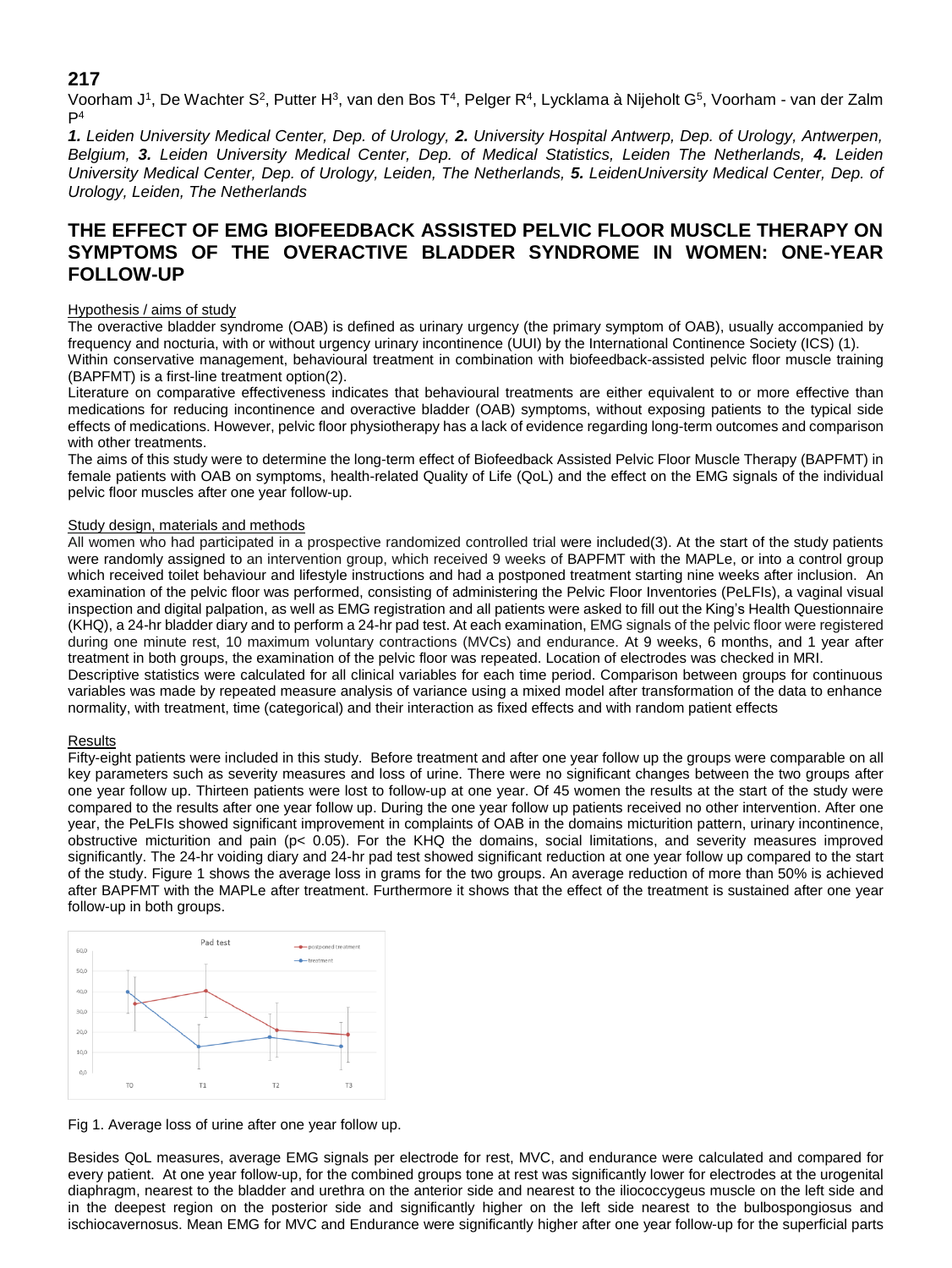# **217**

Voorham J1, De Wachter S<sup>2</sup>, Putter H<sup>3</sup>, van den Bos T<sup>4</sup>, Pelger R<sup>4</sup>, Lycklama à Nijeholt G<sup>5</sup>, Voorham - van der Zalm  $P<sup>4</sup>$ 

*1. Leiden University Medical Center, Dep. of Urology, 2. University Hospital Antwerp, Dep. of Urology, Antwerpen, Belgium, 3. Leiden University Medical Center, Dep. of Medical Statistics, Leiden The Netherlands, 4. Leiden University Medical Center, Dep. of Urology, Leiden, The Netherlands, 5. LeidenUniversity Medical Center, Dep. of Urology, Leiden, The Netherlands*

# **THE EFFECT OF EMG BIOFEEDBACK ASSISTED PELVIC FLOOR MUSCLE THERAPY ON SYMPTOMS OF THE OVERACTIVE BLADDER SYNDROME IN WOMEN: ONE-YEAR FOLLOW-UP**

## Hypothesis / aims of study

The overactive bladder syndrome (OAB) is defined as urinary urgency (the primary symptom of OAB), usually accompanied by frequency and nocturia, with or without urgency urinary incontinence (UUI) by the International Continence Society (ICS) (1). Within conservative management, behavioural treatment in combination with biofeedback-assisted pelvic floor muscle training

### (BAPFMT) is a first-line treatment option(2).

Literature on comparative effectiveness indicates that behavioural treatments are either equivalent to or more effective than medications for reducing incontinence and overactive bladder (OAB) symptoms, without exposing patients to the typical side effects of medications. However, pelvic floor physiotherapy has a lack of evidence regarding long-term outcomes and comparison with other treatments.

The aims of this study were to determine the long-term effect of Biofeedback Assisted Pelvic Floor Muscle Therapy (BAPFMT) in female patients with OAB on symptoms, health-related Quality of Life (QoL) and the effect on the EMG signals of the individual pelvic floor muscles after one year follow-up.

## Study design, materials and methods

All women who had participated in a prospective randomized controlled trial were included(3). At the start of the study patients were randomly assigned to an intervention group, which received 9 weeks of BAPFMT with the MAPLe, or into a control group which received toilet behaviour and lifestyle instructions and had a postponed treatment starting nine weeks after inclusion. An examination of the pelvic floor was performed, consisting of administering the Pelvic Floor Inventories (PeLFIs), a vaginal visual inspection and digital palpation, as well as EMG registration and all patients were asked to fill out the King's Health Questionnaire (KHQ), a 24-hr bladder diary and to perform a 24-hr pad test. At each examination, EMG signals of the pelvic floor were registered during one minute rest, 10 maximum voluntary contractions (MVCs) and endurance. At 9 weeks, 6 months, and 1 year after treatment in both groups, the examination of the pelvic floor was repeated. Location of electrodes was checked in MRI. Descriptive statistics were calculated for all clinical variables for each time period. Comparison between groups for continuous

variables was made by repeated measure analysis of variance using a mixed model after transformation of the data to enhance normality, with treatment, time (categorical) and their interaction as fixed effects and with random patient effects

## Results

Fifty-eight patients were included in this study. Before treatment and after one year follow up the groups were comparable on all key parameters such as severity measures and loss of urine. There were no significant changes between the two groups after one year follow up. Thirteen patients were lost to follow-up at one year. Of 45 women the results at the start of the study were compared to the results after one year follow up. During the one year follow up patients received no other intervention. After one year, the PeLFIs showed significant improvement in complaints of OAB in the domains micturition pattern, urinary incontinence, obstructive micturition and pain ( $p< 0.05$ ). For the KHQ the domains, social limitations, and severity measures improved significantly. The 24-hr voiding diary and 24-hr pad test showed significant reduction at one year follow up compared to the start of the study. Figure 1 shows the average loss in grams for the two groups. An average reduction of more than 50% is achieved after BAPFMT with the MAPLe after treatment. Furthermore it shows that the effect of the treatment is sustained after one year follow-up in both groups.



Fig 1. Average loss of urine after one year follow up.

Besides QoL measures, average EMG signals per electrode for rest, MVC, and endurance were calculated and compared for every patient. At one year follow-up, for the combined groups tone at rest was significantly lower for electrodes at the urogenital diaphragm, nearest to the bladder and urethra on the anterior side and nearest to the iliococcygeus muscle on the left side and in the deepest region on the posterior side and significantly higher on the left side nearest to the bulbospongiosus and ischiocavernosus. Mean EMG for MVC and Endurance were significantly higher after one year follow-up for the superficial parts